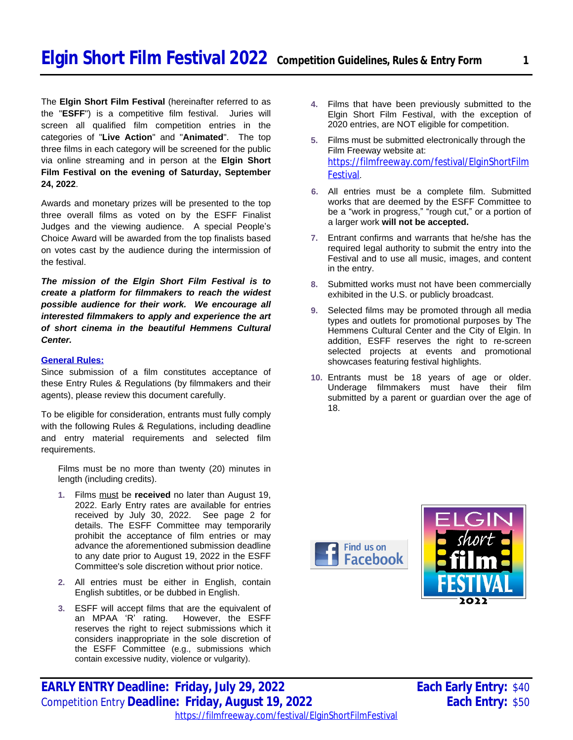The **Elgin Short Film Festival** (hereinafter referred to as the "**ESFF**") is a competitive film festival. Juries will screen all qualified film competition entries in the categories of "**Live Action**" and "**Animated**". The top three films in each category will be screened for the public via online streaming and in person at the **Elgin Short Film Festival on the evening of Saturday, September 24, 2022**.

Awards and monetary prizes will be presented to the top three overall films as voted on by the ESFF Finalist Judges and the viewing audience. A special People's Choice Award will be awarded from the top finalists based on votes cast by the audience during the intermission of the festival.

*The mission of the Elgin Short Film Festival is to create a platform for filmmakers to reach the widest possible audience for their work. We encourage all interested filmmakers to apply and experience the art of short cinema in the beautiful Hemmens Cultural Center.* 

## **General Rules:**

Since submission of a film constitutes acceptance of these Entry Rules & Regulations (by filmmakers and their agents), please review this document carefully.

To be eligible for consideration, entrants must fully comply with the following Rules & Regulations, including deadline and entry material requirements and selected film requirements.

Films must be no more than twenty (20) minutes in length (including credits).

- **1.** Films must be **received** no later than August 19, 2022. Early Entry rates are available for entries received by July 30, 2022. See page 2 for details. The ESFF Committee may temporarily prohibit the acceptance of film entries or may advance the aforementioned submission deadline to any date prior to August 19, 2022 in the ESFF Committee's sole discretion without prior notice.
- **2.** All entries must be either in English, contain English subtitles, or be dubbed in English.
- **3.** ESFF will accept films that are the equivalent of an MPAA 'R' rating. However, the ESFF reserves the right to reject submissions which it considers inappropriate in the sole discretion of the ESFF Committee (e.g., submissions which contain excessive nudity, violence or vulgarity).
- Elgin Short Film Festival, with the exception of 2020 entries, are NOT eligible for competition. **5.** Films must be submitted electronically through the Film Freeway website at:
	- https://filmfreeway.com/festival/ElginShortFilm Festival.

**4.** Films that have been previously submitted to the

- **6.** All entries must be a complete film. Submitted works that are deemed by the ESFF Committee to be a "work in progress," "rough cut," or a portion of a larger work **will not be accepted.**
- **7.** Entrant confirms and warrants that he/she has the required legal authority to submit the entry into the Festival and to use all music, images, and content in the entry.
- **8.** Submitted works must not have been commercially exhibited in the U.S. or publicly broadcast.
- **9.** Selected films may be promoted through all media types and outlets for promotional purposes by The Hemmens Cultural Center and the City of Elgin. In addition, ESFF reserves the right to re-screen selected projects at events and promotional showcases featuring festival highlights.
- **10.** Entrants must be 18 years of age or older. Underage filmmakers must have their film submitted by a parent or guardian over the age of 18.



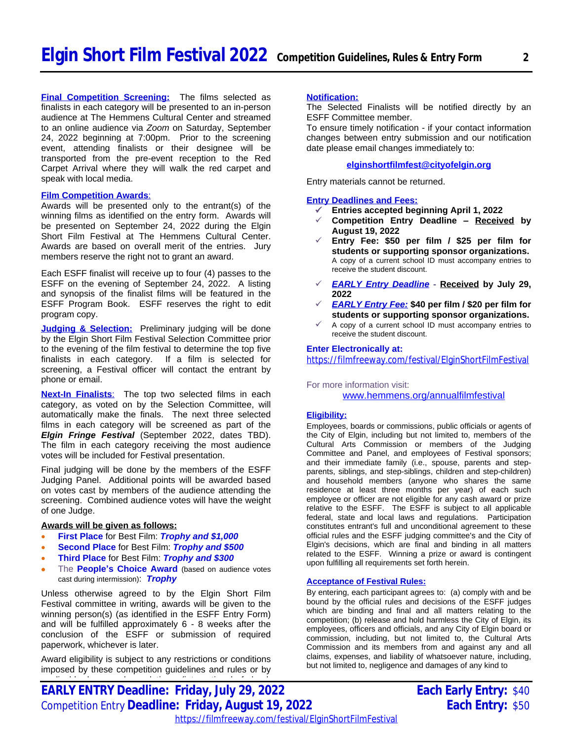**Final Competition Screening:** The films selected as finalists in each category will be presented to an in-person audience at The Hemmens Cultural Center and streamed to an online audience via *Zoom* on Saturday, September 24, 2022 beginning at 7:00pm. Prior to the screening event, attending finalists or their designee will be transported from the pre-event reception to the Red Carpet Arrival where they will walk the red carpet and speak with local media.

#### **Film Competition Awards**:

Awards will be presented only to the entrant(s) of the winning films as identified on the entry form. Awards will be presented on September 24, 2022 during the Elgin Short Film Festival at The Hemmens Cultural Center. Awards are based on overall merit of the entries. Jury members reserve the right not to grant an award.

Each ESFF finalist will receive up to four (4) passes to the ESFF on the evening of September 24, 2022. A listing and synopsis of the finalist films will be featured in the ESFF Program Book. ESFF reserves the right to edit program copy.

**Judging & Selection:** Preliminary judging will be done by the Elgin Short Film Festival Selection Committee prior to the evening of the film festival to determine the top five finalists in each category. If a film is selected for screening, a Festival officer will contact the entrant by phone or email.

**Next-In Finalists**: The top two selected films in each category, as voted on by the Selection Committee, will automatically make the finals. The next three selected films in each category will be screened as part of the *Elgin Fringe Festival* (September 2022, dates TBD). The film in each category receiving the most audience votes will be included for Festival presentation.

Final judging will be done by the members of the ESFF Judging Panel. Additional points will be awarded based on votes cast by members of the audience attending the screening. Combined audience votes will have the weight of one Judge.

#### **Awards will be given as follows:**

- **First Place** for Best Film: *Trophy and \$1,000*
- **Second Place** for Best Film: *Trophy and \$500*
- **Third Place** for Best Film: *Trophy and \$300*
- The **People's Choice Award** (based on audience votes cast during intermission): *Trophy*

Unless otherwise agreed to by the Elgin Short Film Festival committee in writing, awards will be given to the winning person(s) (as identified in the ESFF Entry Form) and will be fulfilled approximately 6 - 8 weeks after the conclusion of the ESFF or submission of required paperwork, whichever is later.

Award eligibility is subject to any restrictions or conditions imposed by these competition guidelines and rules or by

#### **Notification:**

The Selected Finalists will be notified directly by an ESFF Committee member.

To ensure timely notification - if your contact information changes between entry submission and our notification date please email changes immediately to:

### **[elginshortfilmfest@cityofelgin.org](mailto:elginshortfilmfest@cityofelgin.org)**

Entry materials cannot be returned.

### **Entry Deadlines and Fees:**

- **Entries accepted beginning April 1, 2022**
- **Competition Entry Deadline – Received by August 19, 2022**
- **Entry Fee: \$50 per film / \$25 per film for students or supporting sponsor organizations.** A copy of a current school ID must accompany entries to receive the student discount.
- *EARLY Entry Deadline* **- Received by July 29, 2022**
- *EARLY Entry Fee:* **\$40 per film / \$20 per film for students or supporting sponsor organizations.**
- $\checkmark$  A copy of a current school ID must accompany entries to receive the student discount.

#### **Enter Electronically at:**

<https://filmfreeway.com/festival/ElginShortFilmFestival>

For more information visit:

[www.hemmens.org/annualfilmfestival](http://www.hemmens.org/annualfilmfestival)

#### **Eligibility:**

Employees, boards or commissions, public officials or agents of the City of Elgin, including but not limited to, members of the Cultural Arts Commission or members of the Judging Committee and Panel, and employees of Festival sponsors; and their immediate family (i.e., spouse, parents and stepparents, siblings, and step-siblings, children and step-children) and household members (anyone who shares the same residence at least three months per year) of each such employee or officer are not eligible for any cash award or prize relative to the ESFF. The ESFF is subject to all applicable federal, state and local laws and regulations. Participation constitutes entrant's full and unconditional agreement to these official rules and the ESFF judging committee's and the City of Elgin's decisions, which are final and binding in all matters related to the ESFF. Winning a prize or award is contingent upon fulfilling all requirements set forth herein.

#### **Acceptance of Festival Rules:**

By entering, each participant agrees to: (a) comply with and be bound by the official rules and decisions of the ESFF judges which are binding and final and all matters relating to the competition; (b) release and hold harmless the City of Elgin, its employees, officers and officials, and any City of Elgin board or commission, including, but not limited to, the Cultural Arts Commission and its members from and against any and all claims, expenses, and liability of whatsoever nature, including, but not limited to, negligence and damages of any kind to